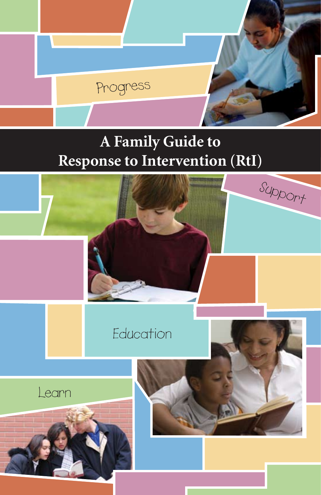# **A Family Guide to Response to Intervention (RtI)**

Progress

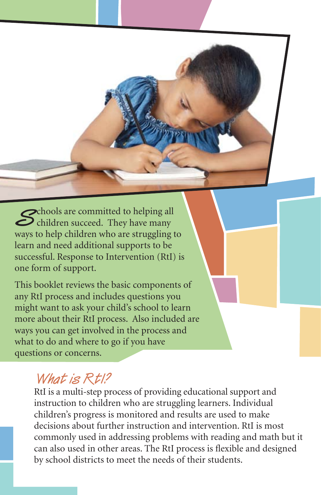Schools are committed to helping all<br>
children succeed. They have many ways to help children who are struggling to learn and need additional supports to be successful. Response to Intervention (RtI) is one form of support.

This booklet reviews the basic components of any RtI process and includes questions you might want to ask your child's school to learn more about their RtI process. Also included are ways you can get involved in the process and what to do and where to go if you have questions or concerns.

#### **What is RtI?**

RtI is a multi-step process of providing educational support and instruction to children who are struggling learners. Individual children's progress is monitored and results are used to make decisions about further instruction and intervention. RtI is most commonly used in addressing problems with reading and math but it can also used in other areas. The RtI process is flexible and designed by school districts to meet the needs of their students.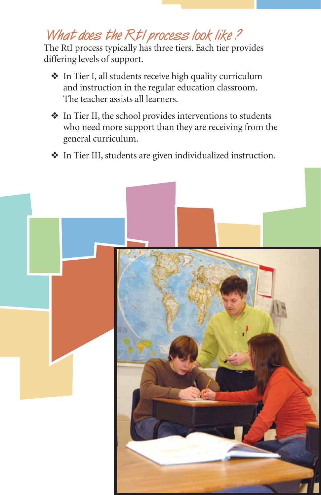## **What does the RtI process look like ?**

The RtI process typically has three tiers. Each tier provides differing levels of support.

- ◆ In Tier I, all students receive high quality curriculum and instruction in the regular education classroom. The teacher assists all learners.
- $\triangleq$  In Tier II, the school provides interventions to students who need more support than they are receiving from the general curriculum.
- ❖ In Tier III, students are given individualized instruction.

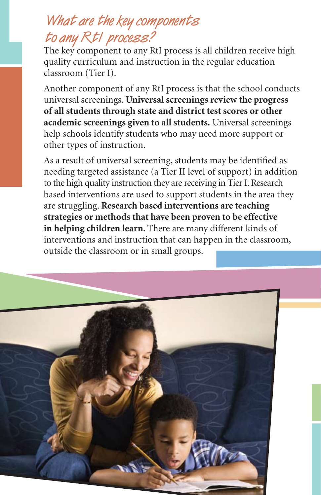## **What are the key components to any RtI process?**

The key component to any RtI process is all children receive high quality curriculum and instruction in the regular education classroom (Tier I).

Another component of any RtI process is that the school conducts universal screenings. **Universal screenings review the progress of all students through state and district test scores or other academic screenings given to all students.** Universal screenings help schools identify students who may need more support or other types of instruction.

As a result of universal screening, students may be identified as needing targeted assistance (a Tier II level of support) in addition to the high quality instruction they are receiving in Tier I. Research based interventions are used to support students in the area they are struggling. **Research based interventions are teaching strategies or methods that have been proven to be effective in helping children learn.** There are many different kinds of interventions and instruction that can happen in the classroom, outside the classroom or in small groups.

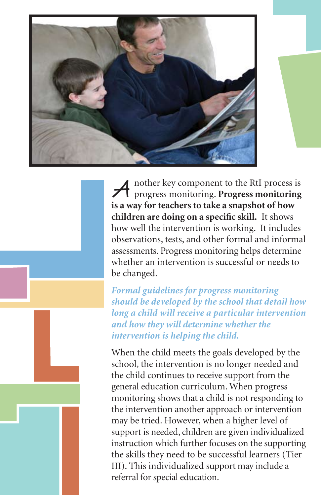

**A** nother key component to the RtI process is progress monitoring. **Progress monitoring is a way for teachers to take a snapshot of how children are doing on a specific skill.** It shows how well the intervention is working. It includes observations, tests, and other formal and informal assessments. Progress monitoring helps determine whether an intervention is successful or needs to be changed.

*Formal guidelines for progress monitoring should be developed by the school that detail how long a child will receive a particular intervention and how they will determine whether the intervention is helping the child.* 

When the child meets the goals developed by the school, the intervention is no longer needed and the child continues to receive support from the general education curriculum. When progress monitoring shows that a child is not responding to the intervention another approach or intervention may be tried. However, when a higher level of support is needed, children are given individualized instruction which further focuses on the supporting the skills they need to be successful learners (Tier III). This individualized support may include a referral for special education.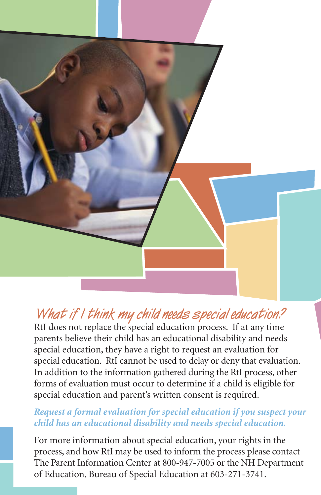

## **What if I think my child needs special education?**

RtI does not replace the special education process. If at any time parents believe their child has an educational disability and needs special education, they have a right to request an evaluation for special education. RtI cannot be used to delay or deny that evaluation. In addition to the information gathered during the RtI process, other forms of evaluation must occur to determine if a child is eligible for special education and parent's written consent is required.

#### *Request a formal evaluation for special education if you suspect your child has an educational disability and needs special education.*

For more information about special education, your rights in the process, and how RtI may be used to inform the process please contact The Parent Information Center at 800-947-7005 or the NH Department of Education, Bureau of Special Education at 603-271-3741.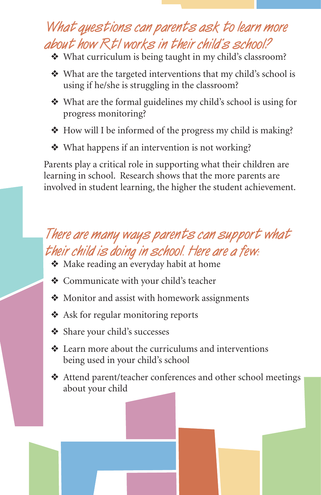## **What questions can parents ask to learn more about how RtI works in their child's school?**

- ◆ What curriculum is being taught in my child's classroom?
- ❖ What are the targeted interventions that my child's school is using if he/she is struggling in the classroom?
- ❖ What are the formal guidelines my child's school is using for progress monitoring?
- ◆ How will I be informed of the progress my child is making?
- ◆ What happens if an intervention is not working?

Parents play a critical role in supporting what their children are learning in school. Research shows that the more parents are involved in student learning, the higher the student achievement.

## **There are many ways parents can support what their child is doing in school. Here are a few:**

- **❖** Make reading an everyday habit at home
- **❖** Communicate with your child's teacher
- ◆ Monitor and assist with homework assignments
- **❖** Ask for regular monitoring reports
- ❖ Share your child's successes
- $\triangleleft$  Learn more about the curriculums and interventions being used in your child's school
- ◆ Attend parent/teacher conferences and other school meetings about your child